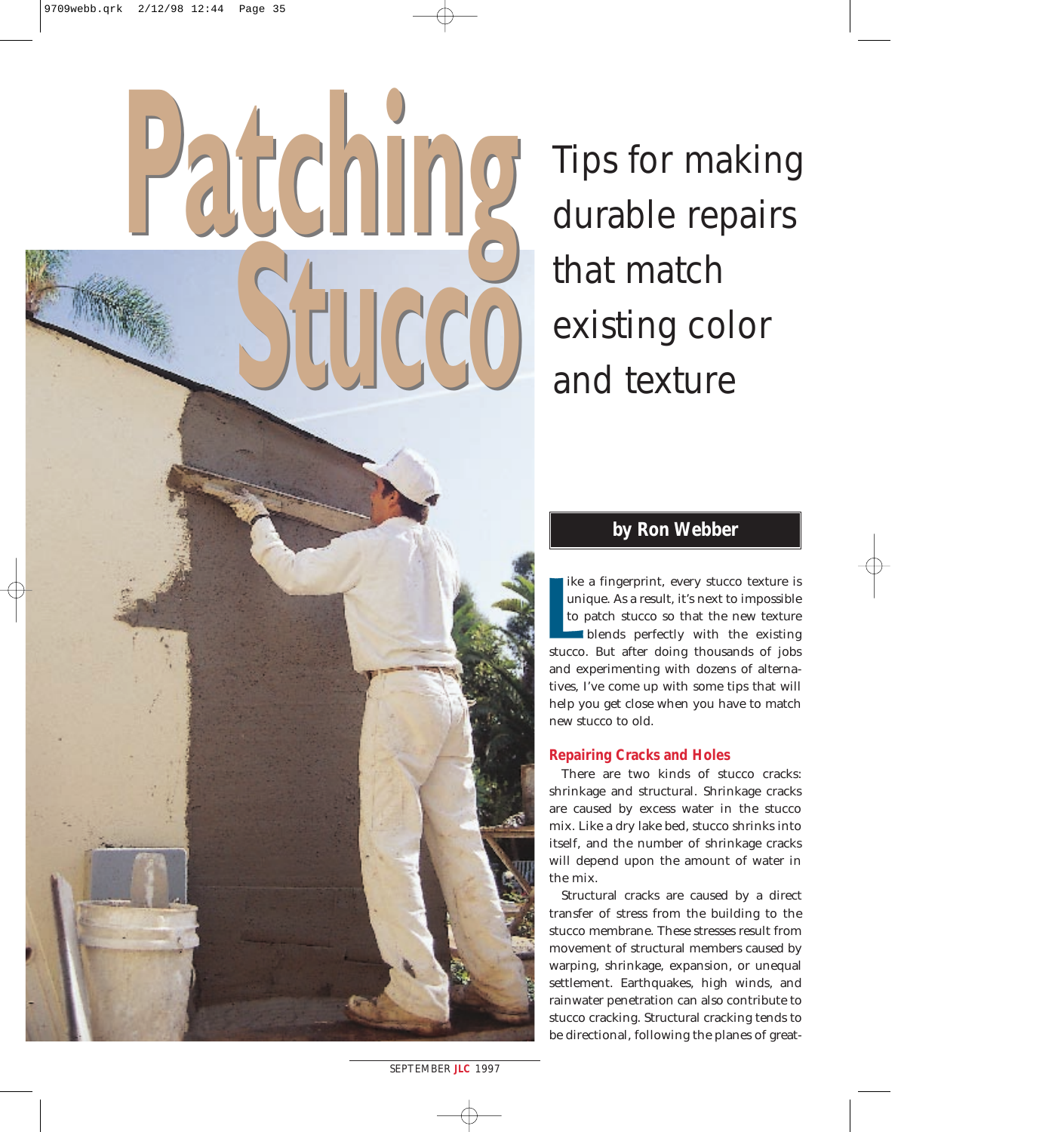# **Patching Stucco Patching Stucco**

Tips for making durable repairs that match existing color and texture

# **by Ron Webber**

ike a fingerprint, every stucco texture is unique. As a result, it's next to impossible to patch stucco so that the new texture blends perfectly with the existing stucco. But after doing thousands of jobs and experimenting with dozens of alternatives, I've come up with some tips that will help you get close when you have to match new stucco to old.

## **Repairing Cracks and Holes**

There are two kinds of stucco cracks: shrinkage and structural. Shrinkage cracks are caused by excess water in the stucco mix. Like a dry lake bed, stucco shrinks into itself, and the number of shrinkage cracks will depend upon the amount of water in the mix.

Structural cracks are caused by a direct transfer of stress from the building to the stucco membrane. These stresses result from movement of structural members caused by warping, shrinkage, expansion, or unequal settlement. Earthquakes, high winds, and rainwater penetration can also contribute to stucco cracking. Structural cracking tends to be directional, following the planes of great-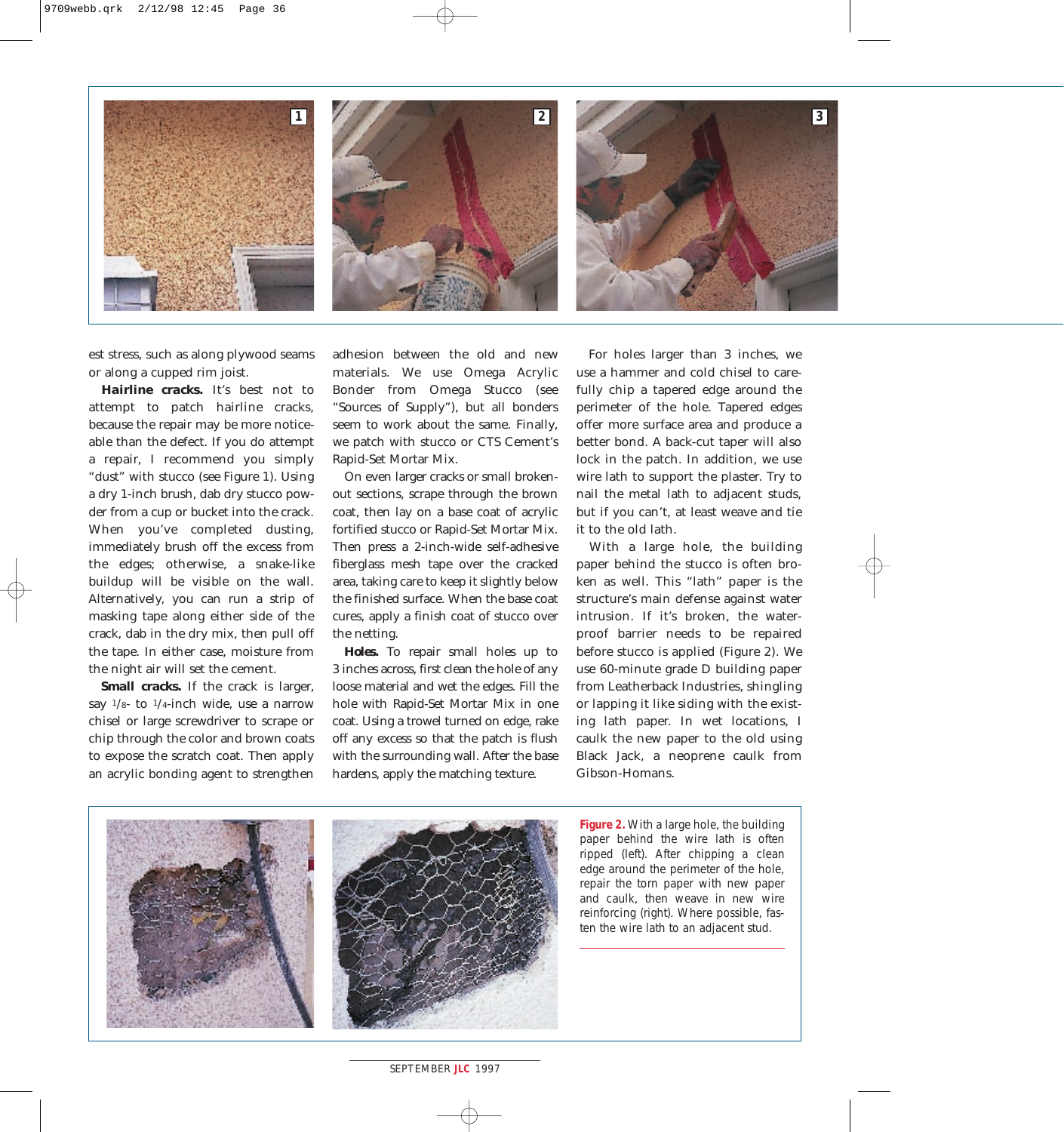

est stress, such as along plywood seams or along a cupped rim joist.

*Hairline cracks.* It's best not to attempt to patch hairline cracks, because the repair may be more noticeable than the defect. If you do attempt a repair, I recommend you simply "dust" with stucco (see Figure 1). Using a dry 1-inch brush, dab dry stucco powder from a cup or bucket into the crack. When you've completed dusting, immediately brush off the excess from the edges; otherwise, a snake-like buildup will be visible on the wall. Alternatively, you can run a strip of masking tape along either side of the crack, dab in the dry mix, then pull off the tape. In either case, moisture from the night air will set the cement.

*Small cracks.* If the crack is larger, say  $\frac{1}{8}$ - to  $\frac{1}{4}$ -inch wide, use a narrow chisel or large screwdriver to scrape or chip through the color and brown coats to expose the scratch coat. Then apply an acrylic bonding agent to strengthen adhesion between the old and new materials. We use Omega Acrylic Bonder from Omega Stucco (see "Sources of Supply"), but all bonders seem to work about the same. Finally, we patch with stucco or CTS Cement's Rapid-Set Mortar Mix.

On even larger cracks or small brokenout sections, scrape through the brown coat, then lay on a base coat of acrylic fortified stucco or Rapid-Set Mortar Mix. Then press a 2-inch-wide self-adhesive fiberglass mesh tape over the cracked area, taking care to keep it slightly below the finished surface. When the base coat cures, apply a finish coat of stucco over the netting.

*Holes.* To repair small holes up to 3 inches across, first clean the hole of any loose material and wet the edges. Fill the hole with Rapid-Set Mortar Mix in one coat. Using a trowel turned on edge, rake off any excess so that the patch is flush with the surrounding wall. After the base hardens, apply the matching texture.

For holes larger than 3 inches, we use a hammer and cold chisel to carefully chip a tapered edge around the perimeter of the hole. Tapered edges offer more surface area and produce a better bond. A back-cut taper will also lock in the patch. In addition, we use wire lath to support the plaster. Try to nail the metal lath to adjacent studs, but if you can't, at least weave and tie it to the old lath.

With a large hole, the building paper behind the stucco is often broken as well. This "lath" paper is the structure's main defense against water intrusion. If it's broken, the waterproof barrier needs to be repaired before stucco is applied (Figure 2). We use 60-minute grade D building paper from Leatherback Industries, shingling or lapping it like siding with the existing lath paper. In wet locations, I caulk the new paper to the old using Black Jack, a neoprene caulk from Gibson-Homans.



**Figure 2.** With a large hole, the building paper behind the wire lath is often ripped (left). After chipping a clean edge around the perimeter of the hole, repair the torn paper with new paper and caulk, then weave in new wire reinforcing (right). Where possible, fasten the wire lath to an adjacent stud.

*SEPTEMBER* **JLC** *1997* **00**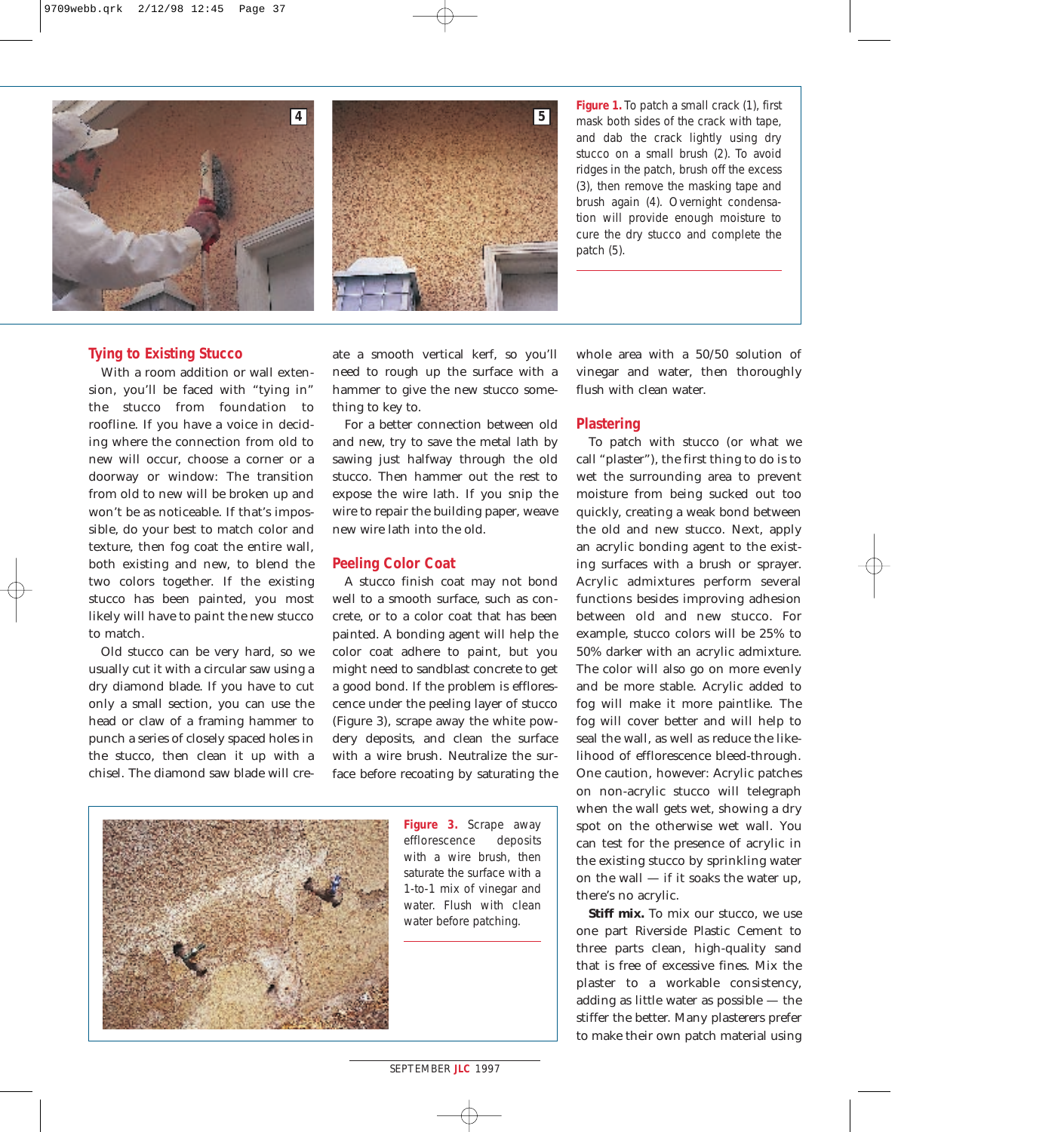

**Figure 1.** To patch a small crack (1), first mask both sides of the crack with tape, and dab the crack lightly using dry stucco on a small brush (2). To avoid ridges in the patch, brush off the excess (3), then remove the masking tape and brush again (4). Overnight condensation will provide enough moisture to cure the dry stucco and complete the patch (5).

### **Tying to Existing Stucco**

With a room addition or wall extension, you'll be faced with "tying in" the stucco from foundation to roofline. If you have a voice in deciding where the connection from old to new will occur, choose a corner or a doorway or window: The transition from old to new will be broken up and won't be as noticeable. If that's impossible, do your best to match color and texture, then fog coat the entire wall, both existing and new, to blend the two colors together. If the existing stucco has been painted, you most likely will have to paint the new stucco to match.

Old stucco can be very hard, so we usually cut it with a circular saw using a dry diamond blade. If you have to cut only a small section, you can use the head or claw of a framing hammer to punch a series of closely spaced holes in the stucco, then clean it up with a chisel. The diamond saw blade will create a smooth vertical kerf, so you'll need to rough up the surface with a hammer to give the new stucco something to key to.

For a better connection between old and new, try to save the metal lath by sawing just halfway through the old stucco. Then hammer out the rest to expose the wire lath. If you snip the wire to repair the building paper, weave new wire lath into the old.

### **Peeling Color Coat**

A stucco finish coat may not bond well to a smooth surface, such as concrete, or to a color coat that has been painted. A bonding agent will help the color coat adhere to paint, but you might need to sandblast concrete to get a good bond. If the problem is efflorescence under the peeling layer of stucco (Figure 3), scrape away the white powdery deposits, and clean the surface with a wire brush. Neutralize the surface before recoating by saturating the



**Figure 3.** Scrape away efflorescence deposits with a wire brush, then saturate the surface with a 1-to-1 mix of vinegar and water. Flush with clean water before patching.

whole area with a 50/50 solution of vinegar and water, then thoroughly flush with clean water.

### **Plastering**

To patch with stucco (or what we call "plaster"), the first thing to do is to wet the surrounding area to prevent moisture from being sucked out too quickly, creating a weak bond between the old and new stucco. Next, apply an acrylic bonding agent to the existing surfaces with a brush or sprayer. Acrylic admixtures perform several functions besides improving adhesion between old and new stucco. For example, stucco colors will be 25% to 50% darker with an acrylic admixture. The color will also go on more evenly and be more stable. Acrylic added to fog will make it more paintlike. The fog will cover better and will help to seal the wall, as well as reduce the likelihood of efflorescence bleed-through. One caution, however: Acrylic patches on non-acrylic stucco will telegraph when the wall gets wet, showing a dry spot on the otherwise wet wall. You can test for the presence of acrylic in the existing stucco by sprinkling water on the wall — if it soaks the water up, there's no acrylic.

*Stiff mix.* To mix our stucco, we use one part Riverside Plastic Cement to three parts clean, high-quality sand that is free of excessive fines. Mix the plaster to a workable consistency, adding as little water as possible — the stiffer the better. Many plasterers prefer to make their own patch material using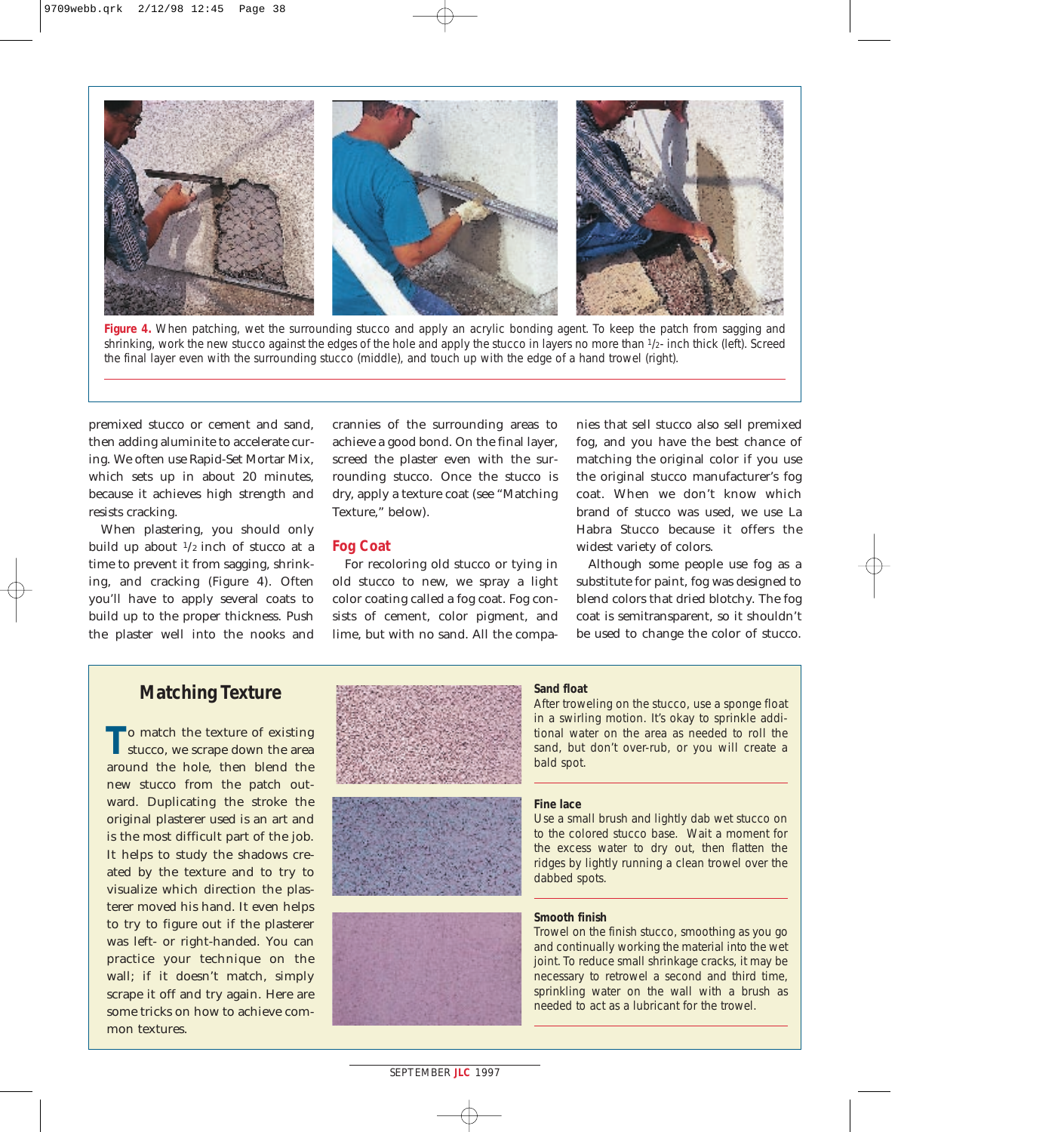

**Figure 4.** When patching, wet the surrounding stucco and apply an acrylic bonding agent. To keep the patch from sagging and shrinking, work the new stucco against the edges of the hole and apply the stucco in layers no more than 1/2- inch thick (left). Screed the final layer even with the surrounding stucco (middle), and touch up with the edge of a hand trowel (right).

premixed stucco or cement and sand, then adding aluminite to accelerate curing. We often use Rapid-Set Mortar Mix, which sets up in about 20 minutes, because it achieves high strength and resists cracking.

When plastering, you should only build up about  $\frac{1}{2}$  inch of stucco at a time to prevent it from sagging, shrinking, and cracking (Figure 4). Often you'll have to apply several coats to build up to the proper thickness. Push the plaster well into the nooks and crannies of the surrounding areas to achieve a good bond. On the final layer, screed the plaster even with the surrounding stucco. Once the stucco is dry, apply a texture coat (see "Matching Texture," below).

### **Fog Coat**

For recoloring old stucco or tying in old stucco to new, we spray a light color coating called a fog coat. Fog consists of cement, color pigment, and lime, but with no sand. All the companies that sell stucco also sell premixed fog, and you have the best chance of matching the original color if you use the original stucco manufacturer's fog coat. When we don't know which brand of stucco was used, we use La Habra Stucco because it offers the widest variety of colors.

Although some people use fog as a substitute for paint, fog was designed to blend colors that dried blotchy. The fog coat is semitransparent, so it shouldn't be used to change the color of stucco.

# **Matching Texture**

**T**o match the texture of existing stucco, we scrape down the area around the hole, then blend the new stucco from the patch outward. Duplicating the stroke the original plasterer used is an art and is the most difficult part of the job. It helps to study the shadows created by the texture and to try to visualize which direction the plasterer moved his hand. It even helps to try to figure out if the plasterer was left- or right-handed. You can practice your technique on the wall; if it doesn't match, simply scrape it off and try again. Here are some tricks on how to achieve common textures.







### *Sand float*

After troweling on the stucco, use a sponge float in a swirling motion. It's okay to sprinkle additional water on the area as needed to roll the sand, but don't over-rub, or you will create a bald spot.

### *Fine lace*

Use a small brush and lightly dab wet stucco on to the colored stucco base. Wait a moment for the excess water to dry out, then flatten the ridges by lightly running a clean trowel over the dabbed spots.

### *Smooth finish*

Trowel on the finish stucco, smoothing as you go and continually working the material into the wet joint. To reduce small shrinkage cracks, it may be necessary to retrowel a second and third time, sprinkling water on the wall with a brush as needed to act as a lubricant for the trowel.